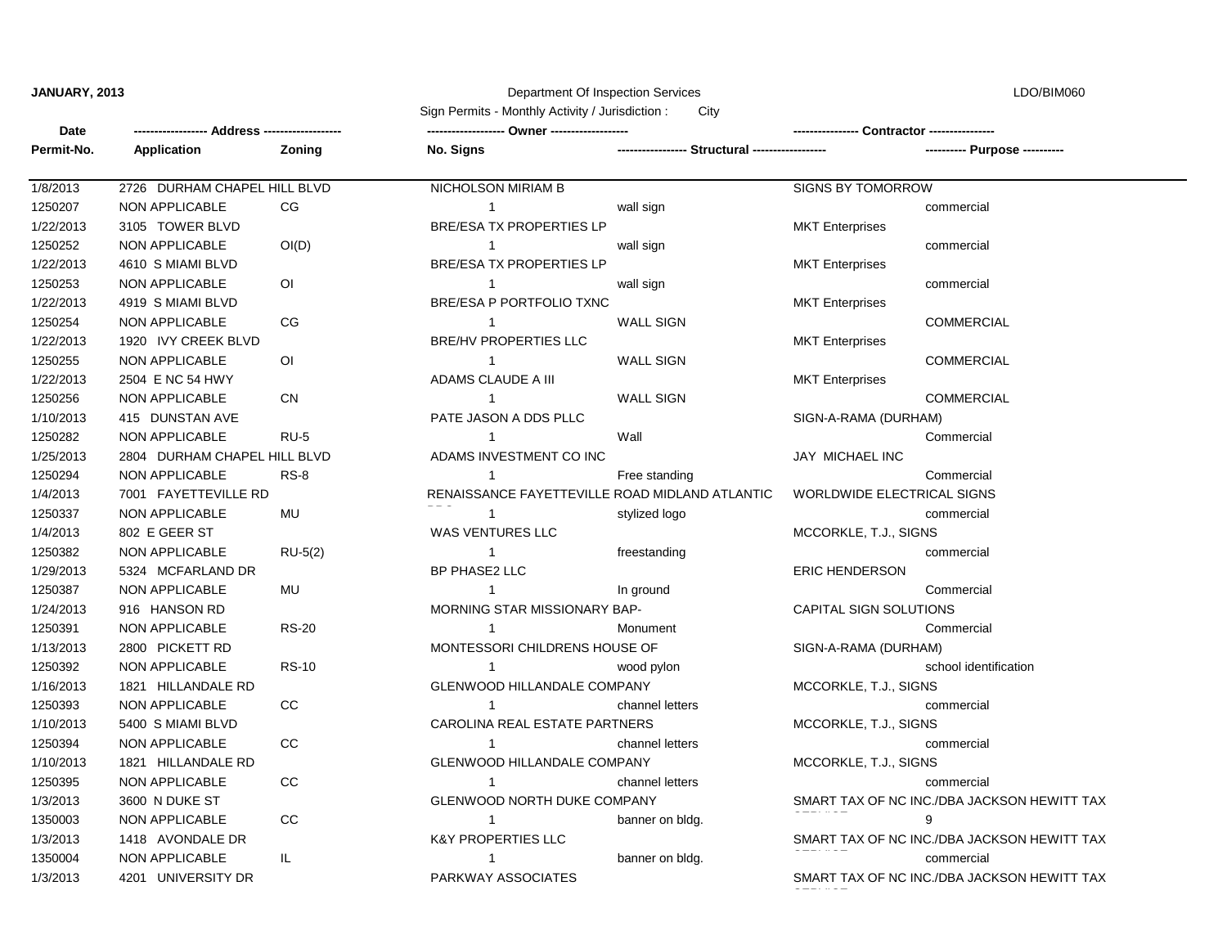## **JANUARY, 2013** Department Of Inspection Services

LDO/BIM060

|                       |                              |                | Sign Permits - Monthly Activity / Jurisdiction:<br>City |                  |                                   |                                             |
|-----------------------|------------------------------|----------------|---------------------------------------------------------|------------------|-----------------------------------|---------------------------------------------|
| Date<br>-- Address -- |                              |                |                                                         |                  | Contractor --                     |                                             |
| Permit-No.            | <b>Application</b>           | Zoning         | No. Signs                                               |                  |                                   |                                             |
| 1/8/2013              | 2726 DURHAM CHAPEL HILL BLVD |                | <b>NICHOLSON MIRIAM B</b>                               |                  | SIGNS BY TOMORROW                 |                                             |
| 1250207               | <b>NON APPLICABLE</b>        | CG             | $\mathbf{1}$                                            | wall sign        |                                   | commercial                                  |
| 1/22/2013             | 3105 TOWER BLVD              |                | <b>BRE/ESA TX PROPERTIES LP</b>                         |                  | <b>MKT</b> Enterprises            |                                             |
| 1250252               | <b>NON APPLICABLE</b>        | OI(D)          | $\mathbf{1}$                                            | wall sign        |                                   | commercial                                  |
| 1/22/2013             | 4610 S MIAMI BLVD            |                | <b>BRE/ESA TX PROPERTIES LP</b>                         |                  | <b>MKT</b> Enterprises            |                                             |
| 1250253               | <b>NON APPLICABLE</b>        | $\overline{O}$ | 1                                                       | wall sign        |                                   | commercial                                  |
| 1/22/2013             | 4919 S MIAMI BLVD            |                | BRE/ESA P PORTFOLIO TXNC                                |                  | <b>MKT</b> Enterprises            |                                             |
| 1250254               | NON APPLICABLE               | CG             | $\mathbf{1}$                                            | <b>WALL SIGN</b> |                                   | <b>COMMERCIAL</b>                           |
| 1/22/2013             | 1920 IVY CREEK BLVD          |                | <b>BRE/HV PROPERTIES LLC</b>                            |                  | <b>MKT</b> Enterprises            |                                             |
| 1250255               | <b>NON APPLICABLE</b>        | $\overline{O}$ | $\mathbf{1}$                                            | <b>WALL SIGN</b> |                                   | <b>COMMERCIAL</b>                           |
| 1/22/2013             | 2504 E NC 54 HWY             |                | ADAMS CLAUDE A III                                      |                  | <b>MKT</b> Enterprises            |                                             |
| 1250256               | <b>NON APPLICABLE</b>        | <b>CN</b>      | $\mathbf{1}$                                            | <b>WALL SIGN</b> |                                   | <b>COMMERCIAL</b>                           |
| 1/10/2013             | 415 DUNSTAN AVE              |                | PATE JASON A DDS PLLC                                   |                  | SIGN-A-RAMA (DURHAM)              |                                             |
| 1250282               | <b>NON APPLICABLE</b>        | <b>RU-5</b>    | $\mathbf{1}$                                            | Wall             |                                   | Commercial                                  |
| 1/25/2013             | 2804 DURHAM CHAPEL HILL BLVD |                | ADAMS INVESTMENT CO INC                                 |                  | JAY MICHAEL INC                   |                                             |
| 1250294               | <b>NON APPLICABLE</b>        | <b>RS-8</b>    | $\mathbf{1}$                                            | Free standing    |                                   | Commercial                                  |
| 1/4/2013              | 7001 FAYETTEVILLE RD         |                | RENAISSANCE FAYETTEVILLE ROAD MIDLAND ATLANTIC          |                  | <b>WORLDWIDE ELECTRICAL SIGNS</b> |                                             |
| 1250337               | <b>NON APPLICABLE</b>        | <b>MU</b>      | 1                                                       | stylized logo    |                                   | commercial                                  |
| 1/4/2013              | 802 E GEER ST                |                | <b>WAS VENTURES LLC</b>                                 |                  | MCCORKLE, T.J., SIGNS             |                                             |
| 1250382               | NON APPLICABLE               | $RU-5(2)$      | $\mathbf{1}$                                            | freestanding     |                                   | commercial                                  |
| 1/29/2013             | 5324 MCFARLAND DR            |                | BP PHASE2 LLC                                           |                  | <b>ERIC HENDERSON</b>             |                                             |
| 1250387               | <b>NON APPLICABLE</b>        | MU             | $\mathbf{1}$                                            | In ground        |                                   | Commercial                                  |
| 1/24/2013             | 916 HANSON RD                |                | MORNING STAR MISSIONARY BAP-                            |                  | <b>CAPITAL SIGN SOLUTIONS</b>     |                                             |
| 1250391               | NON APPLICABLE               | <b>RS-20</b>   | 1                                                       | Monument         |                                   | Commercial                                  |
| 1/13/2013             | 2800 PICKETT RD              |                | MONTESSORI CHILDRENS HOUSE OF                           |                  | SIGN-A-RAMA (DURHAM)              |                                             |
| 1250392               | <b>NON APPLICABLE</b>        | <b>RS-10</b>   | $\mathbf{1}$                                            | wood pylon       |                                   | school identification                       |
| 1/16/2013             | 1821 HILLANDALE RD           |                | GLENWOOD HILLANDALE COMPANY                             |                  | MCCORKLE, T.J., SIGNS             |                                             |
| 1250393               | <b>NON APPLICABLE</b>        | cc             | $\mathbf{1}$                                            | channel letters  |                                   | commercial                                  |
| 1/10/2013             | 5400 S MIAMI BLVD            |                | CAROLINA REAL ESTATE PARTNERS                           |                  | MCCORKLE, T.J., SIGNS             |                                             |
| 1250394               | <b>NON APPLICABLE</b>        | cc             |                                                         | channel letters  |                                   | commercial                                  |
| 1/10/2013             | 1821 HILLANDALE RD           |                | <b>GLENWOOD HILLANDALE COMPANY</b>                      |                  | MCCORKLE, T.J., SIGNS             |                                             |
| 1250395               | <b>NON APPLICABLE</b>        | CC             | 1                                                       | channel letters  |                                   | commercial                                  |
| 1/3/2013              | 3600 N DUKE ST               |                | <b>GLENWOOD NORTH DUKE COMPANY</b>                      |                  |                                   | SMART TAX OF NC INC./DBA JACKSON HEWITT TAX |
| 1350003               | NON APPLICABLE               | CC             | $\mathbf{1}$                                            | banner on bldg.  |                                   | 9                                           |
| 1/3/2013              | 1418 AVONDALE DR             |                | <b>K&amp;Y PROPERTIES LLC</b>                           |                  |                                   | SMART TAX OF NC INC./DBA JACKSON HEWITT TAX |
| 1350004               | <b>NON APPLICABLE</b>        | IL.            | -1                                                      | banner on bldg.  |                                   | commercial                                  |
| 1/3/2013              | 4201 UNIVERSITY DR           |                | PARKWAY ASSOCIATES                                      |                  |                                   | SMART TAX OF NC INC./DBA JACKSON HEWITT TAX |